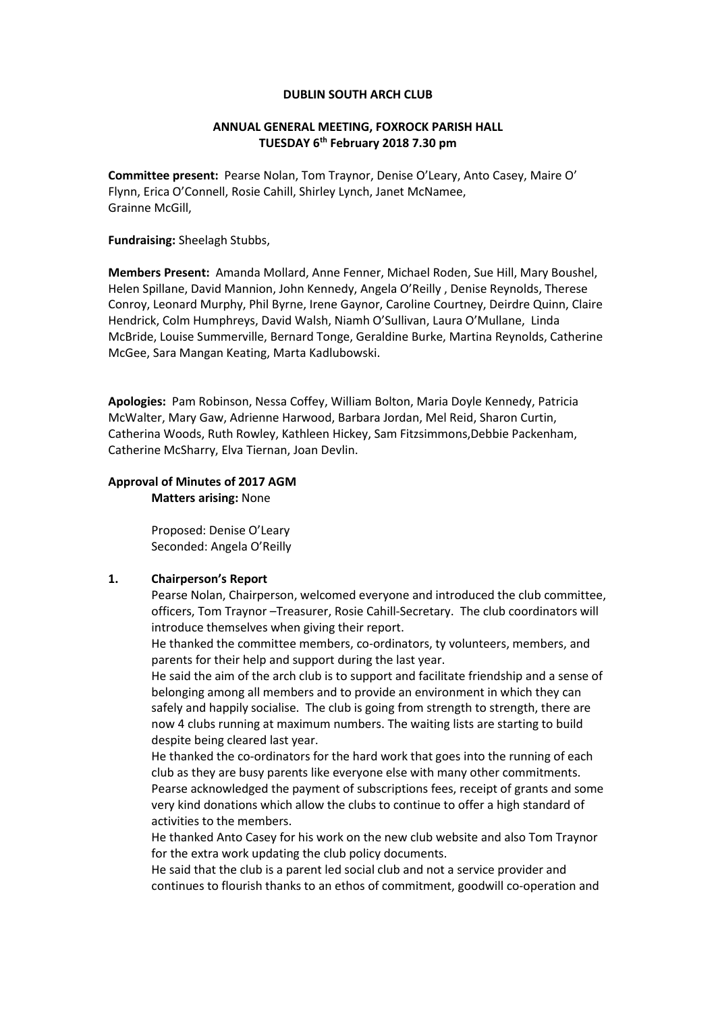#### **DUBLIN SOUTH ARCH CLUB**

## **ANNUAL GENERAL MEETING, FOXROCK PARISH HALL TUESDAY 6th February 2018 7.30 pm**

**Committee present:** Pearse Nolan, Tom Traynor, Denise O'Leary, Anto Casey, Maire O' Flynn, Erica O'Connell, Rosie Cahill, Shirley Lynch, Janet McNamee, Grainne McGill,

#### **Fundraising:** Sheelagh Stubbs,

**Members Present:** Amanda Mollard, Anne Fenner, Michael Roden, Sue Hill, Mary Boushel, Helen Spillane, David Mannion, John Kennedy, Angela O'Reilly , Denise Reynolds, Therese Conroy, Leonard Murphy, Phil Byrne, Irene Gaynor, Caroline Courtney, Deirdre Quinn, Claire Hendrick, Colm Humphreys, David Walsh, Niamh O'Sullivan, Laura O'Mullane, Linda McBride, Louise Summerville, Bernard Tonge, Geraldine Burke, Martina Reynolds, Catherine McGee, Sara Mangan Keating, Marta Kadlubowski.

**Apologies:** Pam Robinson, Nessa Coffey, William Bolton, Maria Doyle Kennedy, Patricia McWalter, Mary Gaw, Adrienne Harwood, Barbara Jordan, Mel Reid, Sharon Curtin, Catherina Woods, Ruth Rowley, Kathleen Hickey, Sam Fitzsimmons,Debbie Packenham, Catherine McSharry, Elva Tiernan, Joan Devlin.

# **Approval of Minutes of 2017 AGM**

**Matters arising:** None

Proposed: Denise O'Leary Seconded: Angela O'Reilly

#### **1. Chairperson's Report**

Pearse Nolan, Chairperson, welcomed everyone and introduced the club committee, officers, Tom Traynor –Treasurer, Rosie Cahill-Secretary. The club coordinators will introduce themselves when giving their report.

He thanked the committee members, co-ordinators, ty volunteers, members, and parents for their help and support during the last year.

He said the aim of the arch club is to support and facilitate friendship and a sense of belonging among all members and to provide an environment in which they can safely and happily socialise. The club is going from strength to strength, there are now 4 clubs running at maximum numbers. The waiting lists are starting to build despite being cleared last year.

He thanked the co-ordinators for the hard work that goes into the running of each club as they are busy parents like everyone else with many other commitments. Pearse acknowledged the payment of subscriptions fees, receipt of grants and some very kind donations which allow the clubs to continue to offer a high standard of activities to the members.

He thanked Anto Casey for his work on the new club website and also Tom Traynor for the extra work updating the club policy documents.

He said that the club is a parent led social club and not a service provider and continues to flourish thanks to an ethos of commitment, goodwill co-operation and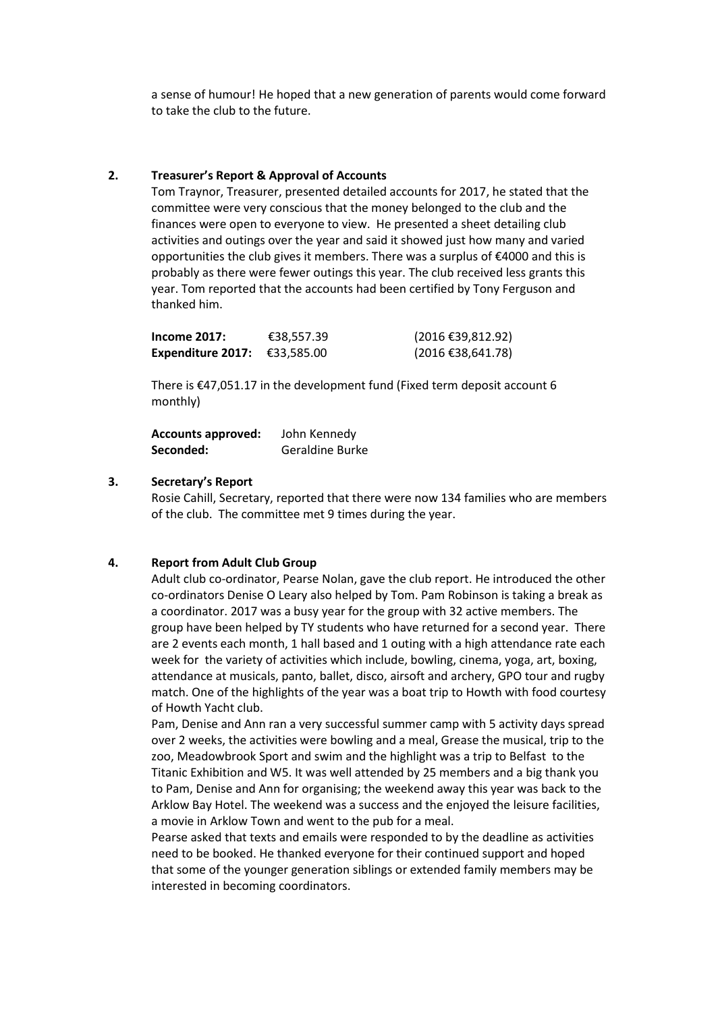a sense of humour! He hoped that a new generation of parents would come forward to take the club to the future.

## **2. Treasurer's Report & Approval of Accounts**

Tom Traynor, Treasurer, presented detailed accounts for 2017, he stated that the committee were very conscious that the money belonged to the club and the finances were open to everyone to view. He presented a sheet detailing club activities and outings over the year and said it showed just how many and varied opportunities the club gives it members. There was a surplus of €4000 and this is probably as there were fewer outings this year. The club received less grants this year. Tom reported that the accounts had been certified by Tony Ferguson and thanked him.

| Income $2017:$           | €38,557.39 | (2016 €39,812.92) |
|--------------------------|------------|-------------------|
| <b>Expenditure 2017:</b> | €33,585.00 | (2016 €38,641.78) |

There is €47,051.17 in the development fund (Fixed term deposit account 6 monthly)

**Accounts approved:** John Kennedy **Seconded:** Geraldine Burke

## **3. Secretary's Report**

Rosie Cahill, Secretary, reported that there were now 134 families who are members of the club. The committee met 9 times during the year.

## **4. Report from Adult Club Group**

Adult club co-ordinator, Pearse Nolan, gave the club report. He introduced the other co-ordinators Denise O Leary also helped by Tom. Pam Robinson is taking a break as a coordinator. 2017 was a busy year for the group with 32 active members. The group have been helped by TY students who have returned for a second year. There are 2 events each month, 1 hall based and 1 outing with a high attendance rate each week for the variety of activities which include, bowling, cinema, yoga, art, boxing, attendance at musicals, panto, ballet, disco, airsoft and archery, GPO tour and rugby match. One of the highlights of the year was a boat trip to Howth with food courtesy of Howth Yacht club.

Pam, Denise and Ann ran a very successful summer camp with 5 activity days spread over 2 weeks, the activities were bowling and a meal, Grease the musical, trip to the zoo, Meadowbrook Sport and swim and the highlight was a trip to Belfast to the Titanic Exhibition and W5. It was well attended by 25 members and a big thank you to Pam, Denise and Ann for organising; the weekend away this year was back to the Arklow Bay Hotel. The weekend was a success and the enjoyed the leisure facilities, a movie in Arklow Town and went to the pub for a meal.

Pearse asked that texts and emails were responded to by the deadline as activities need to be booked. He thanked everyone for their continued support and hoped that some of the younger generation siblings or extended family members may be interested in becoming coordinators.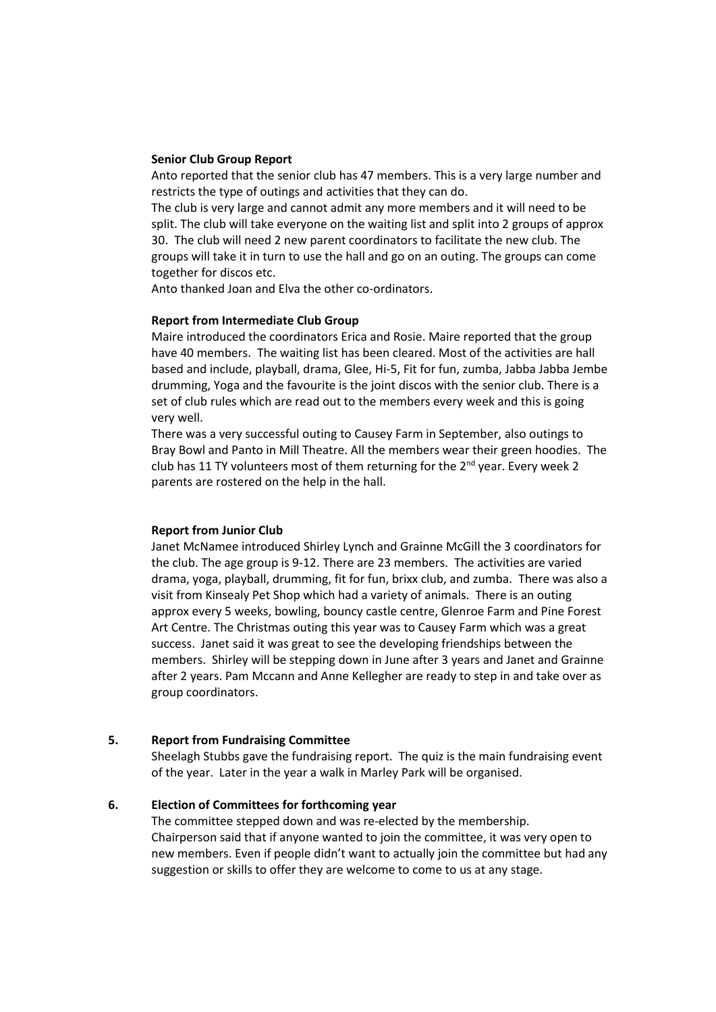## **Senior Club Group Report**

Anto reported that the senior club has 47 members. This is a very large number and restricts the type of outings and activities that they can do.

The club is very large and cannot admit any more members and it will need to be split. The club will take everyone on the waiting list and split into 2 groups of approx 30. The club will need 2 new parent coordinators to facilitate the new club. The groups will take it in turn to use the hall and go on an outing. The groups can come together for discos etc.

Anto thanked Joan and Elva the other co-ordinators.

#### **Report from Intermediate Club Group**

Maire introduced the coordinators Erica and Rosie. Maire reported that the group have 40 members. The waiting list has been cleared. Most of the activities are hall based and include, playball, drama, Glee, Hi-5, Fit for fun, zumba, Jabba Jabba Jembe drumming, Yoga and the favourite is the joint discos with the senior club. There is a set of club rules which are read out to the members every week and this is going very well.

There was a very successful outing to Causey Farm in September, also outings to Bray Bowl and Panto in Mill Theatre. All the members wear their green hoodies. The club has 11 TY volunteers most of them returning for the 2<sup>nd</sup> year. Every week 2 parents are rostered on the help in the hall.

#### **Report from Junior Club**

Janet McNamee introduced Shirley Lynch and Grainne McGill the 3 coordinators for the club. The age group is 9-12. There are 23 members. The activities are varied drama, yoga, playball, drumming, fit for fun, brixx club, and zumba. There was also a visit from Kinsealy Pet Shop which had a variety of animals. There is an outing approx every 5 weeks, bowling, bouncy castle centre, Glenroe Farm and Pine Forest Art Centre. The Christmas outing this year was to Causey Farm which was a great success. Janet said it was great to see the developing friendships between the members. Shirley will be stepping down in June after 3 years and Janet and Grainne after 2 years. Pam Mccann and Anne Kellegher are ready to step in and take over as group coordinators.

## **5. Report from Fundraising Committee**

Sheelagh Stubbs gave the fundraising report. The quiz is the main fundraising event of the year. Later in the year a walk in Marley Park will be organised.

### **6. Election of Committees for forthcoming year**

The committee stepped down and was re-elected by the membership. Chairperson said that if anyone wanted to join the committee, it was very open to new members. Even if people didn't want to actually join the committee but had any suggestion or skills to offer they are welcome to come to us at any stage.